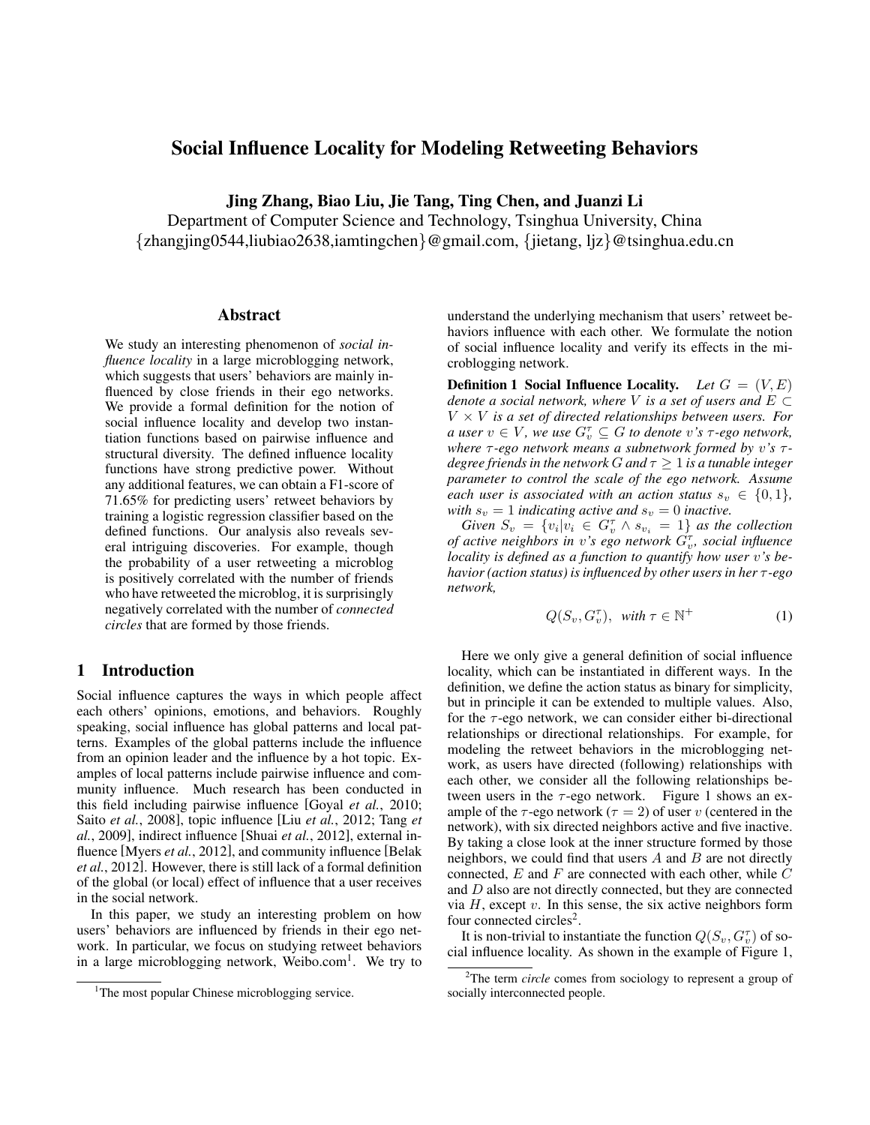# Social Influence Locality for Modeling Retweeting Behaviors

Jing Zhang, Biao Liu, Jie Tang, Ting Chen, and Juanzi Li

Department of Computer Science and Technology, Tsinghua University, China {zhangjing0544,liubiao2638,iamtingchen}@gmail.com, {jietang, ljz}@tsinghua.edu.cn

#### Abstract

We study an interesting phenomenon of *social influence locality* in a large microblogging network, which suggests that users' behaviors are mainly influenced by close friends in their ego networks. We provide a formal definition for the notion of social influence locality and develop two instantiation functions based on pairwise influence and structural diversity. The defined influence locality functions have strong predictive power. Without any additional features, we can obtain a F1-score of 71.65% for predicting users' retweet behaviors by training a logistic regression classifier based on the defined functions. Our analysis also reveals several intriguing discoveries. For example, though the probability of a user retweeting a microblog is positively correlated with the number of friends who have retweeted the microblog, it is surprisingly negatively correlated with the number of *connected circles* that are formed by those friends.

#### 1 Introduction

Social influence captures the ways in which people affect each others' opinions, emotions, and behaviors. Roughly speaking, social influence has global patterns and local patterns. Examples of the global patterns include the influence from an opinion leader and the influence by a hot topic. Examples of local patterns include pairwise influence and community influence. Much research has been conducted in this field including pairwise influence [Goyal *et al.*, 2010; Saito *et al.*, 2008], topic influence [Liu *et al.*, 2012; Tang *et al.*, 2009], indirect influence [Shuai *et al.*, 2012], external influence [Myers *et al.*, 2012], and community influence [Belak *et al.*, 2012]. However, there is still lack of a formal definition of the global (or local) effect of influence that a user receives in the social network.

In this paper, we study an interesting problem on how users' behaviors are influenced by friends in their ego network. In particular, we focus on studying retweet behaviors in a large microblogging network, Weibo.com<sup>1</sup>. We try to understand the underlying mechanism that users' retweet behaviors influence with each other. We formulate the notion of social influence locality and verify its effects in the microblogging network.

**Definition 1 Social Influence Locality.** *Let*  $G = (V, E)$ *denote a social network, where* V *is a set of users and*  $E \subset$  $V \times V$  *is a set of directed relationships between users. For a* user  $v \in V$ , we use  $G_v^{\tau} \subseteq G$  to denote v's  $\tau$ -ego network, *where*  $τ$ -*ego network means a subnetwork formed by v's*  $τ$ *degree friends in the network*  $G$  *and*  $\tau \geq 1$  *is a tunable integer parameter to control the scale of the ego network. Assume each user is associated with an action status*  $s_n \in \{0, 1\}$ , *with*  $s_v = 1$  *indicating active and*  $s_v = 0$  *inactive.* 

*Given*  $S_v = \{v_i | v_i \in G_v^{\tau} \wedge s_{v_i} = 1\}$  *as the collection* of active neighbors in *v*'s ego network  $G_v^{\tau}$ , social influence *locality is defined as a function to quantify how user* v*'s behavior (action status) is influenced by other users in her* τ *-ego network,*

$$
Q(S_v, G_v^{\tau}), \quad \text{with } \tau \in \mathbb{N}^+ \tag{1}
$$

Here we only give a general definition of social influence locality, which can be instantiated in different ways. In the definition, we define the action status as binary for simplicity, but in principle it can be extended to multiple values. Also, for the  $\tau$ -ego network, we can consider either bi-directional relationships or directional relationships. For example, for modeling the retweet behaviors in the microblogging network, as users have directed (following) relationships with each other, we consider all the following relationships between users in the  $\tau$ -ego network. Figure 1 shows an example of the  $\tau$ -ego network ( $\tau = 2$ ) of user v (centered in the network), with six directed neighbors active and five inactive. By taking a close look at the inner structure formed by those neighbors, we could find that users  $A$  and  $B$  are not directly connected,  $E$  and  $F$  are connected with each other, while  $C$ and D also are not directly connected, but they are connected via  $H$ , except  $v$ . In this sense, the six active neighbors form four connected circles<sup>2</sup>.

It is non-trivial to instantiate the function  $Q(S_v, G_v^{\tau})$  of social influence locality. As shown in the example of Figure 1,

<sup>&</sup>lt;sup>1</sup>The most popular Chinese microblogging service.

<sup>&</sup>lt;sup>2</sup>The term *circle* comes from sociology to represent a group of socially interconnected people.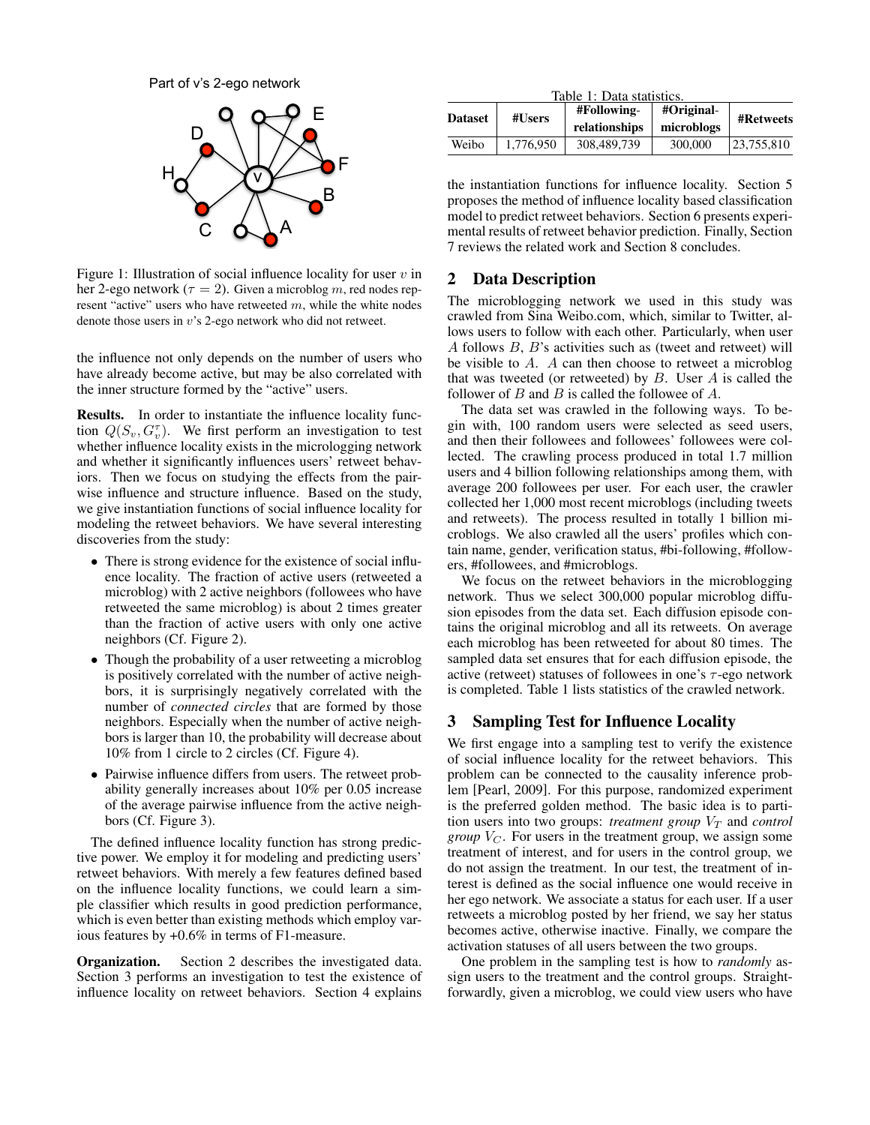Part of v's 2-ego network



Figure 1: Illustration of social influence locality for user  $v$  in her 2-ego network ( $\tau = 2$ ). Given a microblog m, red nodes represent "active" users who have retweeted  $m$ , while the white nodes denote those users in v's 2-ego network who did not retweet.

the influence not only depends on the number of users who have already become active, but may be also correlated with the inner structure formed by the "active" users.

Results. In order to instantiate the influence locality function  $Q(S_v, G_v)$ . We first perform an investigation to test whether influence locality exists in the micrologging network and whether it significantly influences users' retweet behaviors. Then we focus on studying the effects from the pairwise influence and structure influence. Based on the study, we give instantiation functions of social influence locality for modeling the retweet behaviors. We have several interesting discoveries from the study:

- There is strong evidence for the existence of social influence locality. The fraction of active users (retweeted a microblog) with 2 active neighbors (followees who have retweeted the same microblog) is about 2 times greater than the fraction of active users with only one active neighbors (Cf. Figure 2).
- Though the probability of a user retweeting a microblog is positively correlated with the number of active neighbors, it is surprisingly negatively correlated with the number of *connected circles* that are formed by those neighbors. Especially when the number of active neighbors is larger than 10, the probability will decrease about 10% from 1 circle to 2 circles (Cf. Figure 4).
- Pairwise influence differs from users. The retweet probability generally increases about 10% per 0.05 increase of the average pairwise influence from the active neighbors (Cf. Figure 3).

The defined influence locality function has strong predictive power. We employ it for modeling and predicting users' retweet behaviors. With merely a few features defined based on the influence locality functions, we could learn a simple classifier which results in good prediction performance, which is even better than existing methods which employ various features by +0.6% in terms of F1-measure.

Organization. Section 2 describes the investigated data. Section 3 performs an investigation to test the existence of influence locality on retweet behaviors. Section 4 explains

| Table 1: Data statistics. |           |                              |                          |            |  |  |  |  |
|---------------------------|-----------|------------------------------|--------------------------|------------|--|--|--|--|
| <b>Dataset</b>            | #Users    | #Following-<br>relationships | #Original-<br>microblogs | #Retweets  |  |  |  |  |
| Weibo                     | 1.776.950 | 308,489,739                  | 300,000                  | 23.755.810 |  |  |  |  |

the instantiation functions for influence locality. Section 5 proposes the method of influence locality based classification model to predict retweet behaviors. Section 6 presents experimental results of retweet behavior prediction. Finally, Section 7 reviews the related work and Section 8 concludes.

## 2 Data Description

The microblogging network we used in this study was crawled from Sina Weibo.com, which, similar to Twitter, allows users to follow with each other. Particularly, when user A follows B, B's activities such as (tweet and retweet) will be visible to A. A can then choose to retweet a microblog that was tweeted (or retweeted) by  $B$ . User  $A$  is called the follower of B and B is called the followee of  $A$ .

The data set was crawled in the following ways. To begin with, 100 random users were selected as seed users, and then their followees and followees' followees were collected. The crawling process produced in total 1.7 million users and 4 billion following relationships among them, with average 200 followees per user. For each user, the crawler collected her 1,000 most recent microblogs (including tweets and retweets). The process resulted in totally 1 billion microblogs. We also crawled all the users' profiles which contain name, gender, verification status, #bi-following, #followers, #followees, and #microblogs.

We focus on the retweet behaviors in the microblogging network. Thus we select 300,000 popular microblog diffusion episodes from the data set. Each diffusion episode contains the original microblog and all its retweets. On average each microblog has been retweeted for about 80 times. The sampled data set ensures that for each diffusion episode, the active (retweet) statuses of followees in one's  $\tau$ -ego network is completed. Table 1 lists statistics of the crawled network.

## 3 Sampling Test for Influence Locality

We first engage into a sampling test to verify the existence of social influence locality for the retweet behaviors. This problem can be connected to the causality inference problem [Pearl, 2009]. For this purpose, randomized experiment is the preferred golden method. The basic idea is to partition users into two groups: *treatment group*  $V_T$  and *control group*  $V_C$ . For users in the treatment group, we assign some treatment of interest, and for users in the control group, we do not assign the treatment. In our test, the treatment of interest is defined as the social influence one would receive in her ego network. We associate a status for each user. If a user retweets a microblog posted by her friend, we say her status becomes active, otherwise inactive. Finally, we compare the activation statuses of all users between the two groups.

One problem in the sampling test is how to *randomly* assign users to the treatment and the control groups. Straightforwardly, given a microblog, we could view users who have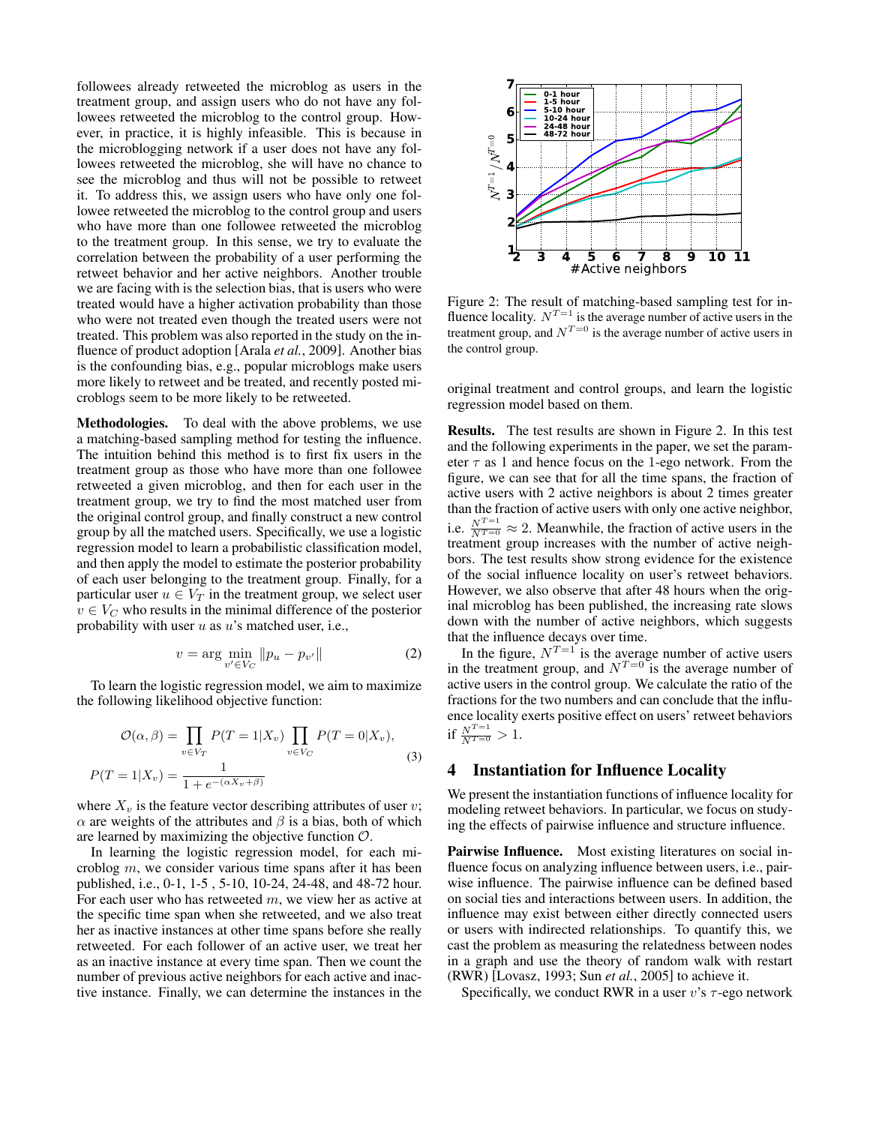followees already retweeted the microblog as users in the treatment group, and assign users who do not have any followees retweeted the microblog to the control group. However, in practice, it is highly infeasible. This is because in the microblogging network if a user does not have any followees retweeted the microblog, she will have no chance to see the microblog and thus will not be possible to retweet it. To address this, we assign users who have only one followee retweeted the microblog to the control group and users who have more than one followee retweeted the microblog to the treatment group. In this sense, we try to evaluate the correlation between the probability of a user performing the retweet behavior and her active neighbors. Another trouble we are facing with is the selection bias, that is users who were treated would have a higher activation probability than those who were not treated even though the treated users were not treated. This problem was also reported in the study on the influence of product adoption [Arala *et al.*, 2009]. Another bias is the confounding bias, e.g., popular microblogs make users more likely to retweet and be treated, and recently posted microblogs seem to be more likely to be retweeted.

Methodologies. To deal with the above problems, we use a matching-based sampling method for testing the influence. The intuition behind this method is to first fix users in the treatment group as those who have more than one followee retweeted a given microblog, and then for each user in the treatment group, we try to find the most matched user from the original control group, and finally construct a new control group by all the matched users. Specifically, we use a logistic regression model to learn a probabilistic classification model, and then apply the model to estimate the posterior probability of each user belonging to the treatment group. Finally, for a particular user  $u \in V_T$  in the treatment group, we select user  $v \in V_C$  who results in the minimal difference of the posterior probability with user  $u$  as  $u$ 's matched user, i.e.,

$$
v = \arg\min_{v' \in V_C} \|p_u - p_{v'}\|
$$
 (2)

To learn the logistic regression model, we aim to maximize the following likelihood objective function:

$$
\mathcal{O}(\alpha,\beta) = \prod_{v \in V_T} P(T=1|X_v) \prod_{v \in V_C} P(T=0|X_v),
$$
  

$$
P(T=1|X_v) = \frac{1}{1+e^{-(\alpha X_v+\beta)}}
$$
 (3)

where  $X_v$  is the feature vector describing attributes of user v;  $\alpha$  are weights of the attributes and  $\beta$  is a bias, both of which are learned by maximizing the objective function  $O$ .

In learning the logistic regression model, for each microblog m, we consider various time spans after it has been published, i.e., 0-1, 1-5 , 5-10, 10-24, 24-48, and 48-72 hour. For each user who has retweeted m, we view her as active at the specific time span when she retweeted, and we also treat her as inactive instances at other time spans before she really retweeted. For each follower of an active user, we treat her as an inactive instance at every time span. Then we count the number of previous active neighbors for each active and inactive instance. Finally, we can determine the instances in the



Figure 2: The result of matching-based sampling test for influence locality.  $N^{T=1}$  is the average number of active users in the treatment group, and  $N^{T=0}$  is the average number of active users in the control group.

original treatment and control groups, and learn the logistic regression model based on them.

Results. The test results are shown in Figure 2. In this test and the following experiments in the paper, we set the parameter  $\tau$  as 1 and hence focus on the 1-ego network. From the figure, we can see that for all the time spans, the fraction of active users with 2 active neighbors is about 2 times greater than the fraction of active users with only one active neighbor, i.e.  $\frac{N^{T=1}}{N^{T=0}} \approx 2$ . Meanwhile, the fraction of active users in the treatment group increases with the number of active neighbors. The test results show strong evidence for the existence of the social influence locality on user's retweet behaviors. However, we also observe that after 48 hours when the original microblog has been published, the increasing rate slows down with the number of active neighbors, which suggests that the influence decays over time.

In the figure,  $N^{T=1}$  is the average number of active users in the treatment group, and  $N^{T=0}$  is the average number of active users in the control group. We calculate the ratio of the fractions for the two numbers and can conclude that the influence locality exerts positive effect on users' retweet behaviors if  $\frac{N^{T=1}}{N^{T=0}} > 1$ .

#### 4 Instantiation for Influence Locality

We present the instantiation functions of influence locality for modeling retweet behaviors. In particular, we focus on studying the effects of pairwise influence and structure influence.

Pairwise Influence. Most existing literatures on social influence focus on analyzing influence between users, i.e., pairwise influence. The pairwise influence can be defined based on social ties and interactions between users. In addition, the influence may exist between either directly connected users or users with indirected relationships. To quantify this, we cast the problem as measuring the relatedness between nodes in a graph and use the theory of random walk with restart (RWR) [Lovasz, 1993; Sun *et al.*, 2005] to achieve it.

Specifically, we conduct RWR in a user  $v$ 's  $\tau$ -ego network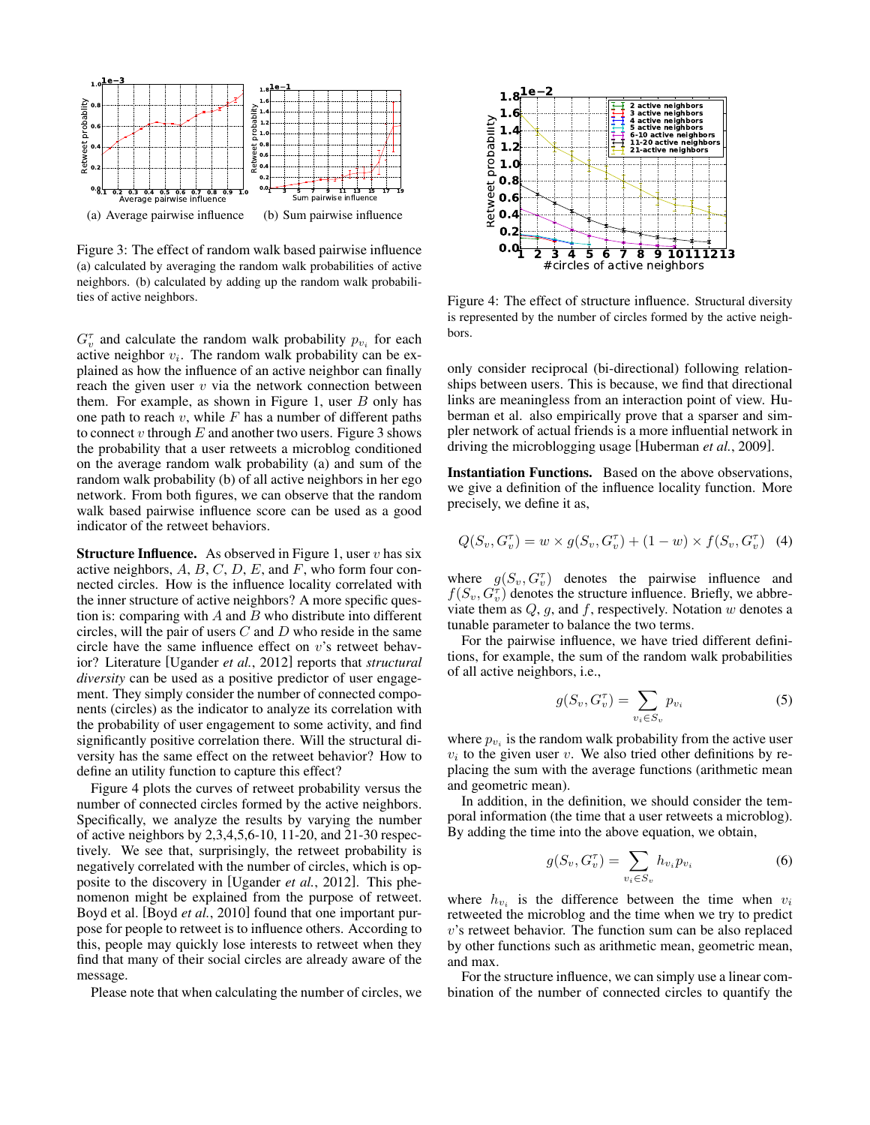

Figure 3: The effect of random walk based pairwise influence (a) calculated by averaging the random walk probabilities of active neighbors. (b) calculated by adding up the random walk probabilities of active neighbors.

 $G_v^{\tau}$  and calculate the random walk probability  $p_{v_i}$  for each active neighbor  $v_i$ . The random walk probability can be explained as how the influence of an active neighbor can finally reach the given user  $v$  via the network connection between them. For example, as shown in Figure 1, user  $B$  only has one path to reach  $v$ , while  $F$  has a number of different paths to connect v through  $E$  and another two users. Figure 3 shows the probability that a user retweets a microblog conditioned on the average random walk probability (a) and sum of the random walk probability (b) of all active neighbors in her ego network. From both figures, we can observe that the random walk based pairwise influence score can be used as a good indicator of the retweet behaviors.

**Structure Influence.** As observed in Figure 1, user  $v$  has six active neighbors,  $A, B, C, D, E$ , and  $F$ , who form four connected circles. How is the influence locality correlated with the inner structure of active neighbors? A more specific question is: comparing with  $A$  and  $B$  who distribute into different circles, will the pair of users  $C$  and  $D$  who reside in the same circle have the same influence effect on  $v$ 's retweet behavior? Literature [Ugander *et al.*, 2012] reports that *structural diversity* can be used as a positive predictor of user engagement. They simply consider the number of connected components (circles) as the indicator to analyze its correlation with the probability of user engagement to some activity, and find significantly positive correlation there. Will the structural diversity has the same effect on the retweet behavior? How to define an utility function to capture this effect?

Figure 4 plots the curves of retweet probability versus the number of connected circles formed by the active neighbors. Specifically, we analyze the results by varying the number of active neighbors by 2,3,4,5,6-10, 11-20, and 21-30 respectively. We see that, surprisingly, the retweet probability is negatively correlated with the number of circles, which is opposite to the discovery in [Ugander *et al.*, 2012]. This phenomenon might be explained from the purpose of retweet. Boyd et al. [Boyd *et al.*, 2010] found that one important purpose for people to retweet is to influence others. According to this, people may quickly lose interests to retweet when they find that many of their social circles are already aware of the message.

Please note that when calculating the number of circles, we



Figure 4: The effect of structure influence. Structural diversity is represented by the number of circles formed by the active neighbors.

only consider reciprocal (bi-directional) following relationships between users. This is because, we find that directional links are meaningless from an interaction point of view. Huberman et al. also empirically prove that a sparser and simpler network of actual friends is a more influential network in driving the microblogging usage [Huberman *et al.*, 2009].

Instantiation Functions. Based on the above observations, we give a definition of the influence locality function. More precisely, we define it as,

$$
Q(S_v, G_v^{\tau}) = w \times g(S_v, G_v^{\tau}) + (1 - w) \times f(S_v, G_v^{\tau}) \quad (4)
$$

where  $g(S_v, G_v^{\tau})$  denotes the pairwise influence and  $f(S_v, G_v^{\tau})$  denotes the structure influence. Briefly, we abbreviate them as  $Q$ ,  $g$ , and  $f$ , respectively. Notation  $w$  denotes a tunable parameter to balance the two terms.

For the pairwise influence, we have tried different definitions, for example, the sum of the random walk probabilities of all active neighbors, i.e.,

$$
g(S_v, G_v^{\tau}) = \sum_{v_i \in S_v} p_{v_i} \tag{5}
$$

where  $p_{v_i}$  is the random walk probability from the active user  $v_i$  to the given user  $v$ . We also tried other definitions by replacing the sum with the average functions (arithmetic mean and geometric mean).

In addition, in the definition, we should consider the temporal information (the time that a user retweets a microblog). By adding the time into the above equation, we obtain,

$$
g(S_v, G_v^{\tau}) = \sum_{v_i \in S_v} h_{v_i} p_{v_i} \tag{6}
$$

where  $h_{v_i}$  is the difference between the time when  $v_i$ retweeted the microblog and the time when we try to predict  $v$ 's retweet behavior. The function sum can be also replaced by other functions such as arithmetic mean, geometric mean, and max.

For the structure influence, we can simply use a linear combination of the number of connected circles to quantify the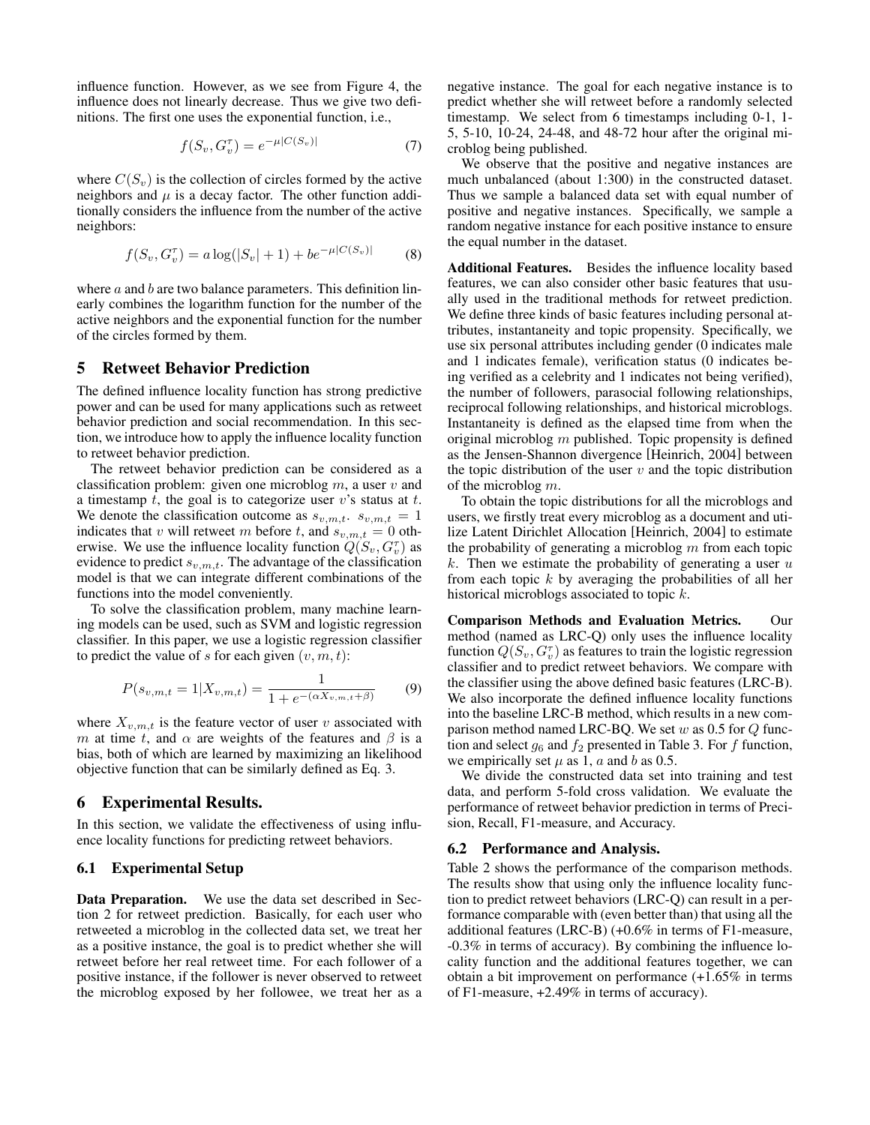influence function. However, as we see from Figure 4, the influence does not linearly decrease. Thus we give two definitions. The first one uses the exponential function, i.e.,

$$
f(S_v, G_v^{\tau}) = e^{-\mu |C(S_v)|}
$$
 (7)

where  $C(S_v)$  is the collection of circles formed by the active neighbors and  $\mu$  is a decay factor. The other function additionally considers the influence from the number of the active neighbors:

$$
f(S_v, G_v^{\tau}) = a \log(|S_v| + 1) + b e^{-\mu|C(S_v)|}
$$
 (8)

where  $a$  and  $b$  are two balance parameters. This definition linearly combines the logarithm function for the number of the active neighbors and the exponential function for the number of the circles formed by them.

#### 5 Retweet Behavior Prediction

The defined influence locality function has strong predictive power and can be used for many applications such as retweet behavior prediction and social recommendation. In this section, we introduce how to apply the influence locality function to retweet behavior prediction.

The retweet behavior prediction can be considered as a classification problem: given one microblog  $m$ , a user  $v$  and a timestamp  $t$ , the goal is to categorize user  $v$ 's status at  $t$ . We denote the classification outcome as  $s_{v,m,t}$ .  $s_{v,m,t} = 1$ indicates that v will retweet m before t, and  $s_{v,m,t} = 0$  otherwise. We use the influence locality function  $Q(S_v, G_v^{\tau})$  as evidence to predict  $s_{v,m,t}$ . The advantage of the classification model is that we can integrate different combinations of the functions into the model conveniently.

To solve the classification problem, many machine learning models can be used, such as SVM and logistic regression classifier. In this paper, we use a logistic regression classifier to predict the value of s for each given  $(v, m, t)$ :

$$
P(s_{v,m,t} = 1 | X_{v,m,t}) = \frac{1}{1 + e^{-(\alpha X_{v,m,t} + \beta)}}
$$
(9)

where  $X_{v,m,t}$  is the feature vector of user v associated with m at time t, and  $\alpha$  are weights of the features and  $\beta$  is a bias, both of which are learned by maximizing an likelihood objective function that can be similarly defined as Eq. 3.

#### 6 Experimental Results.

In this section, we validate the effectiveness of using influence locality functions for predicting retweet behaviors.

#### 6.1 Experimental Setup

Data Preparation. We use the data set described in Section 2 for retweet prediction. Basically, for each user who retweeted a microblog in the collected data set, we treat her as a positive instance, the goal is to predict whether she will retweet before her real retweet time. For each follower of a positive instance, if the follower is never observed to retweet the microblog exposed by her followee, we treat her as a negative instance. The goal for each negative instance is to predict whether she will retweet before a randomly selected timestamp. We select from 6 timestamps including 0-1, 1- 5, 5-10, 10-24, 24-48, and 48-72 hour after the original microblog being published.

We observe that the positive and negative instances are much unbalanced (about 1:300) in the constructed dataset. Thus we sample a balanced data set with equal number of positive and negative instances. Specifically, we sample a random negative instance for each positive instance to ensure the equal number in the dataset.

Additional Features. Besides the influence locality based features, we can also consider other basic features that usually used in the traditional methods for retweet prediction. We define three kinds of basic features including personal attributes, instantaneity and topic propensity. Specifically, we use six personal attributes including gender (0 indicates male and 1 indicates female), verification status (0 indicates being verified as a celebrity and 1 indicates not being verified), the number of followers, parasocial following relationships, reciprocal following relationships, and historical microblogs. Instantaneity is defined as the elapsed time from when the original microblog  $m$  published. Topic propensity is defined as the Jensen-Shannon divergence [Heinrich, 2004] between the topic distribution of the user  $v$  and the topic distribution of the microblog m.

To obtain the topic distributions for all the microblogs and users, we firstly treat every microblog as a document and utilize Latent Dirichlet Allocation [Heinrich, 2004] to estimate the probability of generating a microblog  $m$  from each topic  $k$ . Then we estimate the probability of generating a user  $u$ from each topic  $k$  by averaging the probabilities of all her historical microblogs associated to topic k.

Comparison Methods and Evaluation Metrics. Our method (named as LRC-Q) only uses the influence locality function  $Q(S_v, G_v^{\tau})$  as features to train the logistic regression classifier and to predict retweet behaviors. We compare with the classifier using the above defined basic features (LRC-B). We also incorporate the defined influence locality functions into the baseline LRC-B method, which results in a new comparison method named LRC-BQ. We set  $w$  as 0.5 for  $Q$  function and select  $g_6$  and  $f_2$  presented in Table 3. For f function, we empirically set  $\mu$  as 1,  $\alpha$  and  $\delta$  as 0.5.

We divide the constructed data set into training and test data, and perform 5-fold cross validation. We evaluate the performance of retweet behavior prediction in terms of Precision, Recall, F1-measure, and Accuracy.

#### 6.2 Performance and Analysis.

Table 2 shows the performance of the comparison methods. The results show that using only the influence locality function to predict retweet behaviors (LRC-Q) can result in a performance comparable with (even better than) that using all the additional features (LRC-B) (+0.6% in terms of F1-measure, -0.3% in terms of accuracy). By combining the influence locality function and the additional features together, we can obtain a bit improvement on performance (+1.65% in terms of F1-measure, +2.49% in terms of accuracy).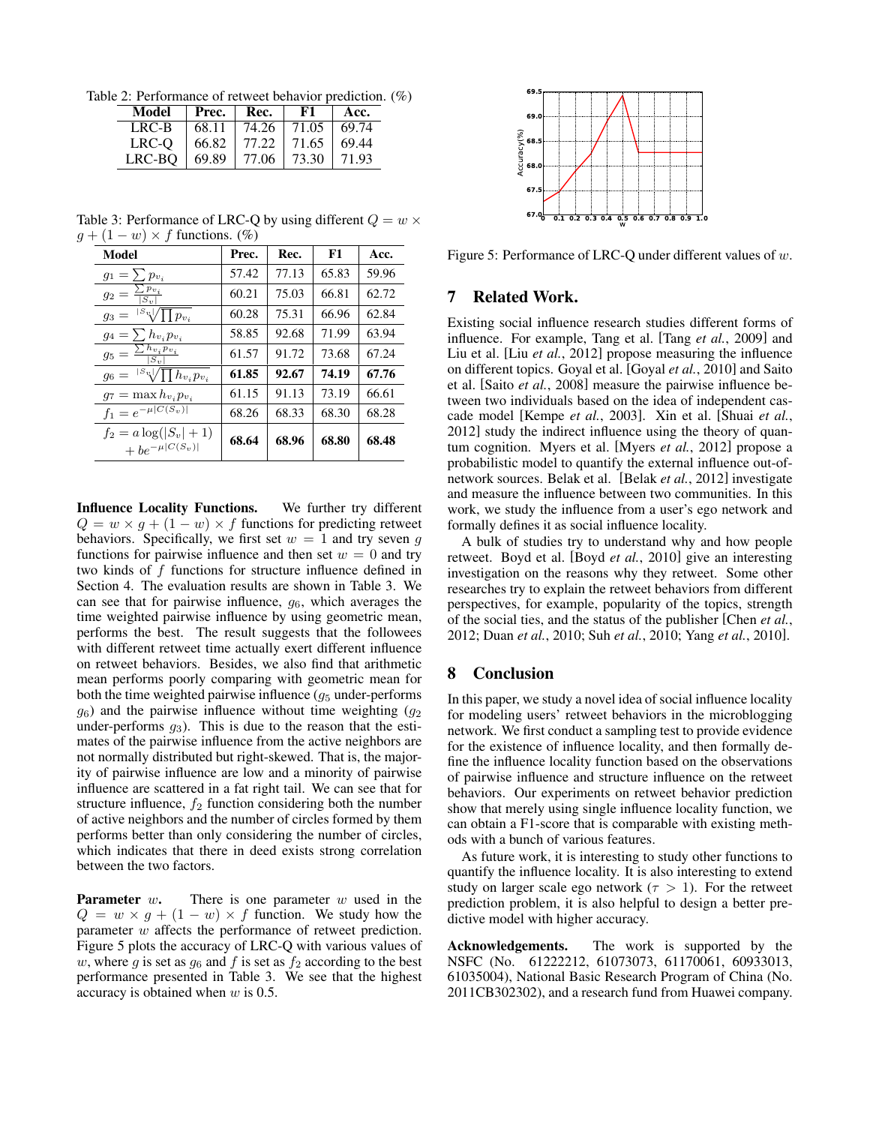Table 2: Performance of retweet behavior prediction. (%)

| Model  | Prec. | Rec.  | F1    | Acc.  |
|--------|-------|-------|-------|-------|
| LRC-B  | 68.11 | 74.26 | 71.05 | 69.74 |
| LRC-O  | 66.82 | 77.22 | 71.65 | 69.44 |
| LRC-BO | 69.89 | 77.06 | 73.30 | 71.93 |

Table 3: Performance of LRC-Q by using different  $Q = w \times$  $g + (1 - w) \times f$  functions. (%)

| Model                                                 | Prec. | Rec.  | F1    | Acc.  |
|-------------------------------------------------------|-------|-------|-------|-------|
| $g_1 = \sum p_{v_i}$                                  | 57.42 | 77.13 | 65.83 | 59.96 |
| $\frac{p_{v_i}}{p}$<br>$g_2 = \frac{\sum P_i}{ S_n }$ | 60.21 | 75.03 | 66.81 | 62.72 |
| $ S_v /\prod p_{v_i}$<br>$g_3 =$                      | 60.28 | 75.31 | 66.96 | 62.84 |
| $g_4 = \sum h_{v_i} p_{v_i}$                          | 58.85 | 92.68 | 71.99 | 63.94 |
| $g_5=\frac{\sum \hbar v_i p_{v_i}}{ }$                | 61.57 | 91.72 | 73.68 | 67.24 |
| $g_6 = {}^{ S_v } \sqrt{\prod h_{v_i} p_{v_i}}$       | 61.85 | 92.67 | 74.19 | 67.76 |
| $q_7 = \max h_{v_i} p_{v_i}$                          | 61.15 | 91.13 | 73.19 | 66.61 |
| $f_1 = e^{-\mu  C(S_v) }$                             | 68.26 | 68.33 | 68.30 | 68.28 |
| $f_2 = a \log( S_v  + 1)$<br>$+be^{-\mu  C(S_v) }$    | 68.64 | 68.96 | 68.80 | 68.48 |

Influence Locality Functions. We further try different  $Q = w \times g + (1 - w) \times f$  functions for predicting retweet behaviors. Specifically, we first set  $w = 1$  and try seven g functions for pairwise influence and then set  $w = 0$  and try two kinds of f functions for structure influence defined in Section 4. The evaluation results are shown in Table 3. We can see that for pairwise influence,  $g_6$ , which averages the time weighted pairwise influence by using geometric mean, performs the best. The result suggests that the followees with different retweet time actually exert different influence on retweet behaviors. Besides, we also find that arithmetic mean performs poorly comparing with geometric mean for both the time weighted pairwise influence  $(g_5$  under-performs  $g_6$ ) and the pairwise influence without time weighting  $(g_2)$ under-performs  $g_3$ ). This is due to the reason that the estimates of the pairwise influence from the active neighbors are not normally distributed but right-skewed. That is, the majority of pairwise influence are low and a minority of pairwise influence are scattered in a fat right tail. We can see that for structure influence,  $f_2$  function considering both the number of active neighbors and the number of circles formed by them performs better than only considering the number of circles, which indicates that there in deed exists strong correlation between the two factors.

**Parameter**  $w$ . There is one parameter  $w$  used in the  $Q = w \times g + (1 - w) \times f$  function. We study how the parameter w affects the performance of retweet prediction. Figure 5 plots the accuracy of LRC-Q with various values of w, where g is set as  $g_6$  and f is set as  $f_2$  according to the best performance presented in Table 3. We see that the highest accuracy is obtained when  $w$  is 0.5.



Figure 5: Performance of LRC-Q under different values of w.

### 7 Related Work.

Existing social influence research studies different forms of influence. For example, Tang et al. [Tang *et al.*, 2009] and Liu et al. [Liu *et al.*, 2012] propose measuring the influence on different topics. Goyal et al. [Goyal *et al.*, 2010] and Saito et al. [Saito *et al.*, 2008] measure the pairwise influence between two individuals based on the idea of independent cascade model [Kempe *et al.*, 2003]. Xin et al. [Shuai *et al.*, 2012] study the indirect influence using the theory of quantum cognition. Myers et al. [Myers *et al.*, 2012] propose a probabilistic model to quantify the external influence out-ofnetwork sources. Belak et al. [Belak *et al.*, 2012] investigate and measure the influence between two communities. In this work, we study the influence from a user's ego network and formally defines it as social influence locality.

A bulk of studies try to understand why and how people retweet. Boyd et al. [Boyd *et al.*, 2010] give an interesting investigation on the reasons why they retweet. Some other researches try to explain the retweet behaviors from different perspectives, for example, popularity of the topics, strength of the social ties, and the status of the publisher [Chen *et al.*, 2012; Duan *et al.*, 2010; Suh *et al.*, 2010; Yang *et al.*, 2010].

### 8 Conclusion

In this paper, we study a novel idea of social influence locality for modeling users' retweet behaviors in the microblogging network. We first conduct a sampling test to provide evidence for the existence of influence locality, and then formally define the influence locality function based on the observations of pairwise influence and structure influence on the retweet behaviors. Our experiments on retweet behavior prediction show that merely using single influence locality function, we can obtain a F1-score that is comparable with existing methods with a bunch of various features.

As future work, it is interesting to study other functions to quantify the influence locality. It is also interesting to extend study on larger scale ego network ( $\tau > 1$ ). For the retweet prediction problem, it is also helpful to design a better predictive model with higher accuracy.

Acknowledgements. The work is supported by the NSFC (No. 61222212, 61073073, 61170061, 60933013, 61035004), National Basic Research Program of China (No. 2011CB302302), and a research fund from Huawei company.